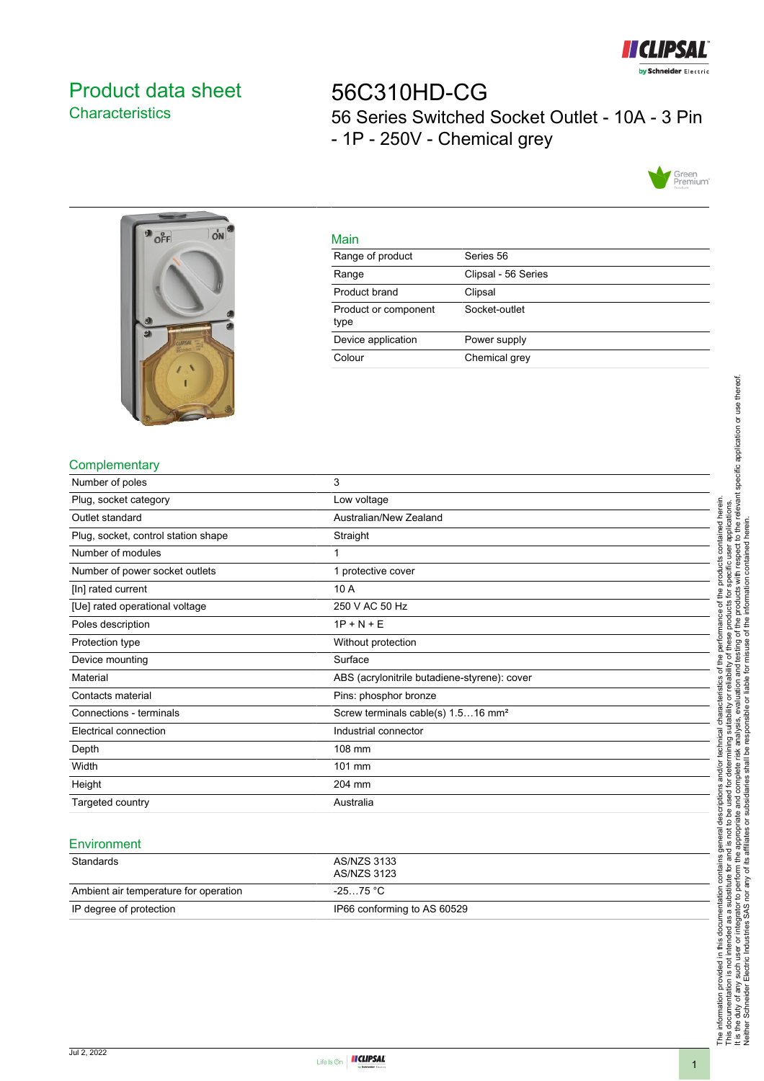

## <span id="page-0-0"></span>Product data sheet **Characteristics**

# 56C310HD-CG 56 Series Switched Socket Outlet - 10A - 3 Pin - 1P - 250V - Chemical grey





| ٠  |
|----|
|    |
| __ |

| IV121111                     |                     |
|------------------------------|---------------------|
| Range of product             | Series 56           |
| Range                        | Clipsal - 56 Series |
| Product brand                | Clipsal             |
| Product or component<br>type | Socket-outlet       |
| Device application           | Power supply        |
| Colour                       | Chemical grey       |
|                              |                     |

#### **Complementary**

| Number of poles                     | 3                                              |
|-------------------------------------|------------------------------------------------|
| Plug, socket category               | Low voltage                                    |
| Outlet standard                     | Australian/New Zealand                         |
| Plug, socket, control station shape | Straight                                       |
| Number of modules                   |                                                |
| Number of power socket outlets      | 1 protective cover                             |
| [In] rated current                  | 10 A                                           |
| [Ue] rated operational voltage      | 250 V AC 50 Hz                                 |
| Poles description                   | $1P + N + E$                                   |
| Protection type                     | Without protection                             |
| Device mounting                     | Surface                                        |
| Material                            | ABS (acrylonitrile butadiene-styrene): cover   |
| Contacts material                   | Pins: phosphor bronze                          |
| Connections - terminals             | Screw terminals cable(s) 1.516 mm <sup>2</sup> |
| Electrical connection               | Industrial connector                           |
| Depth                               | 108 mm                                         |
| Width                               | 101 mm                                         |
| Height                              | 204 mm                                         |
| Targeted country                    | Australia                                      |

#### **Environment**

| Standards                             | AS/NZS 3133<br>AS/NZS 3123  |
|---------------------------------------|-----------------------------|
| Ambient air temperature for operation | -25…75 °C                   |
| IP degree of protection               | IP66 conforming to AS 60529 |